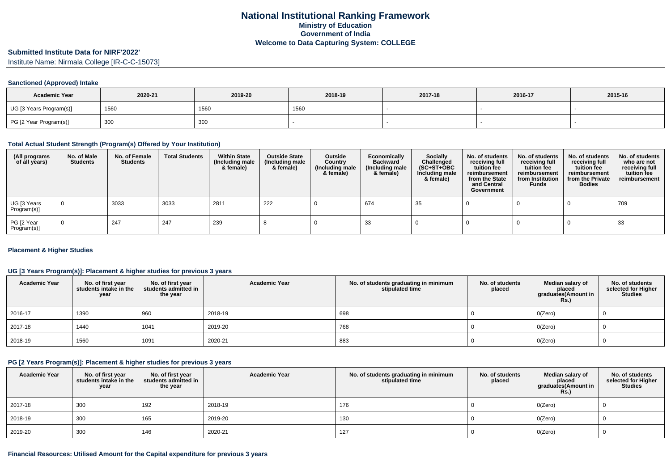#### **Submitted Institute Data for NIRF'2022'**

Institute Name: Nirmala College [IR-C-C-15073]

#### **Sanctioned (Approved) Intake**

| <b>Academic Year</b>    | 2020-21     | 2019-20 | 2018-19 | 2017-18 | 2016-17 | 2015-16 |
|-------------------------|-------------|---------|---------|---------|---------|---------|
| UG [3 Years Program(s)] | 1560        | 1560    | 1560    |         |         |         |
| PG [2 Year Program(s)]  | 300<br>ັບບບ | 300     |         |         |         |         |

#### **Total Actual Student Strength (Program(s) Offered by Your Institution)**

| (All programs<br>of all years) | No. of Male<br><b>Students</b> | No. of Female<br><b>Students</b> | <b>Total Students</b> | <b>Within State</b><br>(Including male<br>& female) | <b>Outside State</b><br>(Including male<br>& female) | Outside<br>Country<br>(Including male<br>& female) | Economically<br><b>Backward</b><br>(Including male<br>& female) | <b>Socially</b><br>Challenged<br>$(SC+ST+OBC)$<br>Including male<br>& female) | No. of students<br>receiving full<br>tuition fee<br>reimbursement<br>from the State<br>and Central<br>Government | No. of students<br>receiving full<br>tuition fee<br>reimbursement<br>from Institution<br><b>Funds</b> | No. of students<br>receiving full<br>tuition fee<br>reimbursement<br>from the Private<br><b>Bodies</b> | No. of students<br>who are not<br>receiving full<br>tuition fee<br>reimbursement |
|--------------------------------|--------------------------------|----------------------------------|-----------------------|-----------------------------------------------------|------------------------------------------------------|----------------------------------------------------|-----------------------------------------------------------------|-------------------------------------------------------------------------------|------------------------------------------------------------------------------------------------------------------|-------------------------------------------------------------------------------------------------------|--------------------------------------------------------------------------------------------------------|----------------------------------------------------------------------------------|
| UG [3 Years<br>Program(s)]     |                                | 3033                             | 3033                  | 2811                                                | 222                                                  |                                                    | 674                                                             | 35                                                                            |                                                                                                                  |                                                                                                       |                                                                                                        | 709                                                                              |
| PG [2 Year<br>Program(s)]      |                                | 247                              | 247                   | 239                                                 |                                                      |                                                    | 33                                                              |                                                                               |                                                                                                                  |                                                                                                       |                                                                                                        | 33                                                                               |

#### **Placement & Higher Studies**

### **UG [3 Years Program(s)]: Placement & higher studies for previous 3 years**

| <b>Academic Year</b> | No. of first year<br>students intake in the<br>year | No. of first year<br>students admitted in<br>the year | <b>Academic Year</b> | No. of students graduating in minimum<br>stipulated time | No. of students<br>placed | Median salary of<br>placed<br>graduates(Amount in<br><b>Rs.)</b> | No. of students<br>selected for Higher<br><b>Studies</b> |
|----------------------|-----------------------------------------------------|-------------------------------------------------------|----------------------|----------------------------------------------------------|---------------------------|------------------------------------------------------------------|----------------------------------------------------------|
| 2016-17              | 1390                                                | 960                                                   | 2018-19              | 698                                                      |                           | O(Zero)                                                          | υ                                                        |
| 2017-18              | 1440                                                | 1041                                                  | 2019-20              | 768                                                      |                           | O(Zero)                                                          |                                                          |
| 2018-19              | 1560                                                | 1091                                                  | 2020-21              | 883                                                      |                           | O(Zero)                                                          |                                                          |

#### **PG [2 Years Program(s)]: Placement & higher studies for previous 3 years**

| <b>Academic Year</b> | No. of first year<br>students intake in the<br>year | No. of first year<br>students admitted in<br>the year | <b>Academic Year</b> | No. of students graduating in minimum<br>stipulated time | No. of students<br>placed | Median salary of<br>placed<br>graduates(Amount in<br><b>Rs.)</b> | No. of students<br>selected for Higher<br><b>Studies</b> |
|----------------------|-----------------------------------------------------|-------------------------------------------------------|----------------------|----------------------------------------------------------|---------------------------|------------------------------------------------------------------|----------------------------------------------------------|
| 2017-18              | 300                                                 | 192                                                   | 2018-19              | 176                                                      |                           | O(Zero)                                                          |                                                          |
| 2018-19              | 300                                                 | 165                                                   | 2019-20              | 130                                                      |                           | O(Zero)                                                          |                                                          |
| 2019-20              | 300                                                 | 146                                                   | 2020-21              | 127                                                      |                           | O(Zero)                                                          |                                                          |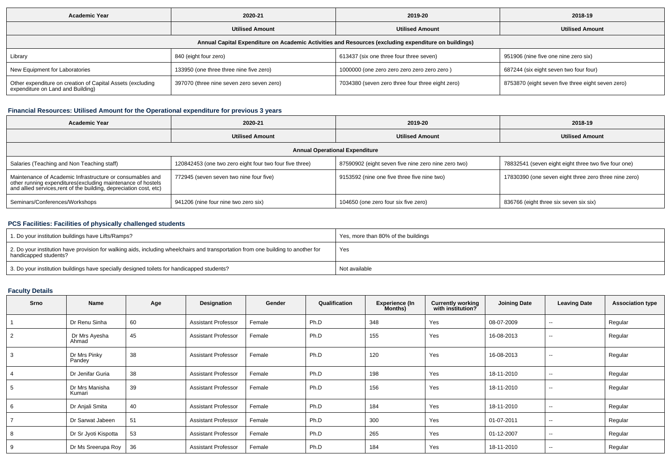| <b>Academic Year</b>                                                                                 | 2020-21                                   | 2019-20                                          | 2018-19                                           |  |  |  |  |  |  |  |
|------------------------------------------------------------------------------------------------------|-------------------------------------------|--------------------------------------------------|---------------------------------------------------|--|--|--|--|--|--|--|
|                                                                                                      | <b>Utilised Amount</b>                    | <b>Utilised Amount</b>                           | <b>Utilised Amount</b>                            |  |  |  |  |  |  |  |
| Annual Capital Expenditure on Academic Activities and Resources (excluding expenditure on buildings) |                                           |                                                  |                                                   |  |  |  |  |  |  |  |
| Library                                                                                              | 840 (eight four zero)                     | 613437 (six one three four three seven)          | 951906 (nine five one nine zero six)              |  |  |  |  |  |  |  |
| New Equipment for Laboratories                                                                       | 133950 (one three three nine five zero)   | 1000000 (one zero zero zero zero zero zero)      | 687244 (six eight seven two four four)            |  |  |  |  |  |  |  |
| Other expenditure on creation of Capital Assets (excluding<br>expenditure on Land and Building)      | 397070 (three nine seven zero seven zero) | 7034380 (seven zero three four three eight zero) | 8753870 (eight seven five three eight seven zero) |  |  |  |  |  |  |  |

## **Financial Resources: Utilised Amount for the Operational expenditure for previous 3 years**

| Academic Year<br>2020-21                                                                                                                                                                        |                                                         | 2019-20                                             | 2018-19                                               |  |  |  |  |  |  |  |
|-------------------------------------------------------------------------------------------------------------------------------------------------------------------------------------------------|---------------------------------------------------------|-----------------------------------------------------|-------------------------------------------------------|--|--|--|--|--|--|--|
|                                                                                                                                                                                                 | <b>Utilised Amount</b>                                  | <b>Utilised Amount</b>                              | <b>Utilised Amount</b>                                |  |  |  |  |  |  |  |
| <b>Annual Operational Expenditure</b>                                                                                                                                                           |                                                         |                                                     |                                                       |  |  |  |  |  |  |  |
| Salaries (Teaching and Non Teaching staff)                                                                                                                                                      | 120842453 (one two zero eight four two four five three) | 87590902 (eight seven five nine zero nine zero two) | 78832541 (seven eight eight three two five four one)  |  |  |  |  |  |  |  |
| Maintenance of Academic Infrastructure or consumables and<br>other running expenditures (excluding maintenance of hostels<br>and allied services, rent of the building, depreciation cost, etc) | 772945 (seven seven two nine four five)                 | 9153592 (nine one five three five nine two)         | 17830390 (one seven eight three zero three nine zero) |  |  |  |  |  |  |  |
| Seminars/Conferences/Workshops                                                                                                                                                                  | 941206 (nine four nine two zero six)                    | 104650 (one zero four six five zero)                | 836766 (eight three six seven six six)                |  |  |  |  |  |  |  |

# **PCS Facilities: Facilities of physically challenged students**

| 1. Do your institution buildings have Lifts/Ramps?                                                                                                         | Yes, more than 80% of the buildings |
|------------------------------------------------------------------------------------------------------------------------------------------------------------|-------------------------------------|
| 2. Do your institution have provision for walking aids, including wheelchairs and transportation from one building to another for<br>handicapped students? | Yes                                 |
| 3. Do your institution buildings have specially designed toilets for handicapped students?                                                                 | Not available                       |

## **Faculty Details**

| Srno           | <b>Name</b>              | Age | Designation                | Gender | Qualification | <b>Experience (In</b><br>Months) | <b>Currently working</b><br>with institution? | <b>Joining Date</b> | <b>Leaving Date</b>      | <b>Association type</b> |
|----------------|--------------------------|-----|----------------------------|--------|---------------|----------------------------------|-----------------------------------------------|---------------------|--------------------------|-------------------------|
|                | Dr Renu Sinha            | 60  | <b>Assistant Professor</b> | Female | Ph.D          | 348                              | Yes                                           | 08-07-2009          | $\overline{\phantom{a}}$ | Regular                 |
| $\overline{2}$ | Dr Mrs Ayesha<br>Ahmad   | 45  | <b>Assistant Professor</b> | Female | Ph.D          | 155                              | Yes                                           | 16-08-2013          | $\overline{\phantom{a}}$ | Regular                 |
| 3              | Dr Mrs Pinky<br>Pandey   | 38  | <b>Assistant Professor</b> | Female | Ph.D          | 120                              | Yes                                           | 16-08-2013          | $\sim$                   | Regular                 |
| 4              | Dr Jenifar Guria         | 38  | <b>Assistant Professor</b> | Female | Ph.D          | 198                              | Yes                                           | 18-11-2010          | $\sim$                   | Regular                 |
| 5              | Dr Mrs Manisha<br>Kumari | 39  | <b>Assistant Professor</b> | Female | Ph.D          | 156                              | Yes                                           | 18-11-2010          | $\sim$                   | Regular                 |
| 6              | Dr Anjali Smita          | 40  | <b>Assistant Professor</b> | Female | Ph.D          | 184                              | Yes                                           | 18-11-2010          | $\overline{\phantom{a}}$ | Regular                 |
|                | Dr Sarwat Jabeen         | 51  | <b>Assistant Professor</b> | Female | Ph.D          | 300                              | Yes                                           | 01-07-2011          | $\overline{\phantom{a}}$ | Regular                 |
| 8              | Dr Sr Jyoti Kispotta     | 53  | <b>Assistant Professor</b> | Female | Ph.D          | 265                              | Yes                                           | 01-12-2007          | $\overline{\phantom{a}}$ | Regular                 |
| 9              | Dr Ms Sreerupa Roy       | 36  | <b>Assistant Professor</b> | Female | Ph.D          | 184                              | Yes                                           | 18-11-2010          | --                       | Regular                 |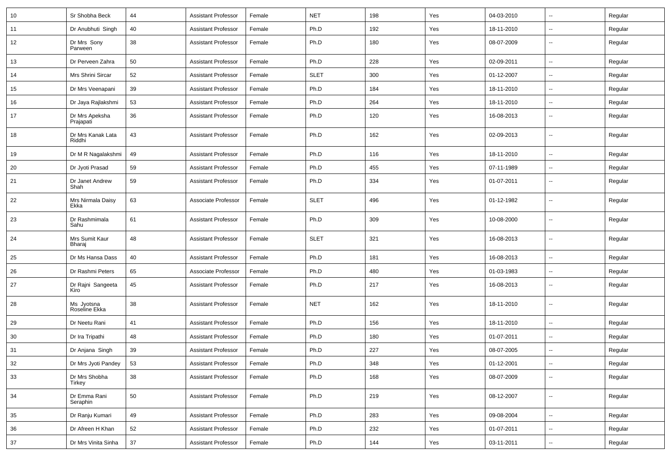| 10 | Sr Shobha Beck              | 44 | <b>Assistant Professor</b> | Female | <b>NET</b>  | 198 | Yes | 04-03-2010 | $\overline{\phantom{a}}$ | Regular |
|----|-----------------------------|----|----------------------------|--------|-------------|-----|-----|------------|--------------------------|---------|
| 11 | Dr Anubhuti Singh           | 40 | <b>Assistant Professor</b> | Female | Ph.D        | 192 | Yes | 18-11-2010 | $\sim$                   | Regular |
| 12 | Dr Mrs Sony<br>Parween      | 38 | <b>Assistant Professor</b> | Female | Ph.D        | 180 | Yes | 08-07-2009 | --                       | Regular |
| 13 | Dr Perveen Zahra            | 50 | <b>Assistant Professor</b> | Female | Ph.D        | 228 | Yes | 02-09-2011 | $\overline{\phantom{a}}$ | Regular |
| 14 | Mrs Shrini Sircar           | 52 | <b>Assistant Professor</b> | Female | <b>SLET</b> | 300 | Yes | 01-12-2007 | $\overline{\phantom{a}}$ | Regular |
| 15 | Dr Mrs Veenapani            | 39 | <b>Assistant Professor</b> | Female | Ph.D        | 184 | Yes | 18-11-2010 | $\overline{\phantom{a}}$ | Regular |
| 16 | Dr Jaya Rajlakshmi          | 53 | <b>Assistant Professor</b> | Female | Ph.D        | 264 | Yes | 18-11-2010 | $\overline{\phantom{a}}$ | Regular |
| 17 | Dr Mrs Apeksha<br>Prajapati | 36 | <b>Assistant Professor</b> | Female | Ph.D        | 120 | Yes | 16-08-2013 | $\overline{\phantom{a}}$ | Regular |
| 18 | Dr Mrs Kanak Lata<br>Riddhi | 43 | <b>Assistant Professor</b> | Female | Ph.D        | 162 | Yes | 02-09-2013 | $\overline{\phantom{a}}$ | Regular |
| 19 | Dr M R Nagalakshmi          | 49 | <b>Assistant Professor</b> | Female | Ph.D        | 116 | Yes | 18-11-2010 | ⊷.                       | Regular |
| 20 | Dr Jyoti Prasad             | 59 | <b>Assistant Professor</b> | Female | Ph.D        | 455 | Yes | 07-11-1989 | $\overline{\phantom{a}}$ | Regular |
| 21 | Dr Janet Andrew<br>Shah     | 59 | <b>Assistant Professor</b> | Female | Ph.D        | 334 | Yes | 01-07-2011 | --                       | Regular |
| 22 | Mrs Nirmala Daisy<br>Ekka   | 63 | Associate Professor        | Female | <b>SLET</b> | 496 | Yes | 01-12-1982 | $\overline{\phantom{a}}$ | Regular |
| 23 | Dr Rashmimala<br>Sahu       | 61 | <b>Assistant Professor</b> | Female | Ph.D        | 309 | Yes | 10-08-2000 | --                       | Regular |
| 24 | Mrs Sumit Kaur<br>Bharaj    | 48 | <b>Assistant Professor</b> | Female | <b>SLET</b> | 321 | Yes | 16-08-2013 | --                       | Regular |
| 25 | Dr Ms Hansa Dass            | 40 | <b>Assistant Professor</b> | Female | Ph.D        | 181 | Yes | 16-08-2013 | $\overline{\phantom{a}}$ | Regular |
| 26 | Dr Rashmi Peters            | 65 | Associate Professor        | Female | Ph.D        | 480 | Yes | 01-03-1983 | $\overline{\phantom{a}}$ | Regular |
| 27 | Dr Rajni Sangeeta<br>Kiro   | 45 | <b>Assistant Professor</b> | Female | Ph.D        | 217 | Yes | 16-08-2013 | $\overline{\phantom{a}}$ | Regular |
| 28 | Ms Jyotsna<br>Roseline Ekka | 38 | <b>Assistant Professor</b> | Female | <b>NET</b>  | 162 | Yes | 18-11-2010 | $\overline{\phantom{a}}$ | Regular |
| 29 | Dr Neetu Rani               | 41 | <b>Assistant Professor</b> | Female | Ph.D        | 156 | Yes | 18-11-2010 | $\overline{\phantom{a}}$ | Regular |
| 30 | Dr Ira Tripathi             | 48 | <b>Assistant Professor</b> | Female | Ph.D        | 180 | Yes | 01-07-2011 | $\overline{\phantom{a}}$ | Regular |
| 31 | Dr Anjana Singh             | 39 | <b>Assistant Professor</b> | Female | Ph.D        | 227 | Yes | 08-07-2005 | $\overline{\phantom{a}}$ | Regular |
| 32 | Dr Mrs Jyoti Pandey         | 53 | <b>Assistant Professor</b> | Female | Ph.D        | 348 | Yes | 01-12-2001 | $\sim$                   | Regular |
| 33 | Dr Mrs Shobha<br>Tirkey     | 38 | <b>Assistant Professor</b> | Female | Ph.D        | 168 | Yes | 08-07-2009 | $\overline{\phantom{a}}$ | Regular |
| 34 | Dr Emma Rani<br>Seraphin    | 50 | <b>Assistant Professor</b> | Female | Ph.D        | 219 | Yes | 08-12-2007 | $\sim$                   | Regular |
| 35 | Dr Ranju Kumari             | 49 | <b>Assistant Professor</b> | Female | Ph.D        | 283 | Yes | 09-08-2004 | $\sim$                   | Regular |
| 36 | Dr Afreen H Khan            | 52 | <b>Assistant Professor</b> | Female | Ph.D        | 232 | Yes | 01-07-2011 | ш,                       | Regular |
| 37 | Dr Mrs Vinita Sinha         | 37 | <b>Assistant Professor</b> | Female | Ph.D        | 144 | Yes | 03-11-2011 | $\sim$                   | Regular |